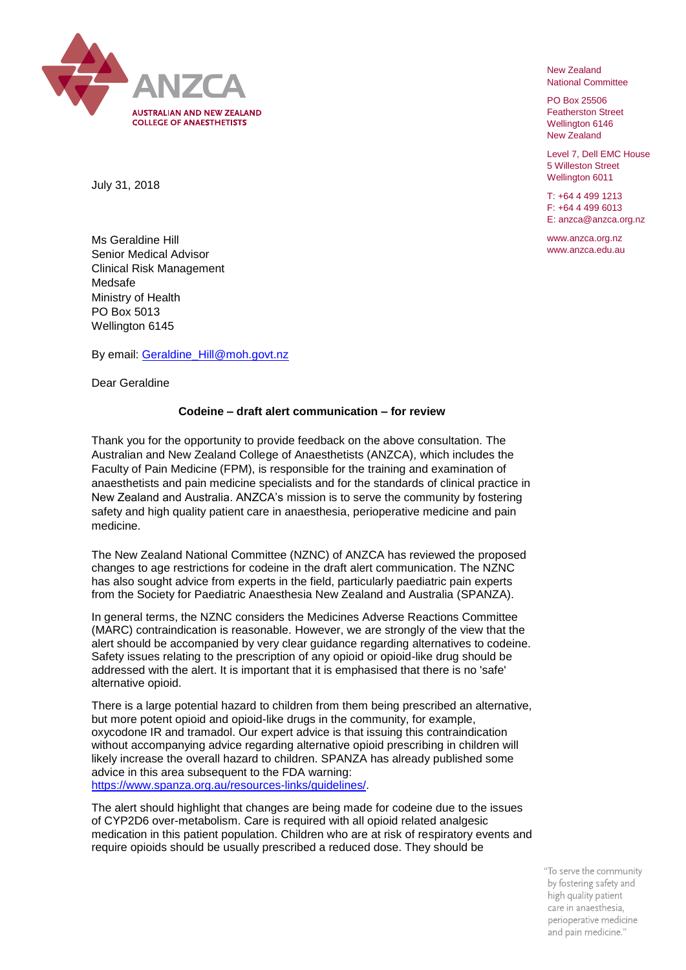

New Zealand National Committee

PO Box 25506 Featherston Street Wellington 6146 New Zealand

Level 7, Dell EMC House 5 Willeston Street Wellington 6011

T: +64 4 499 1213 F: +64 4 499 6013 E: anzca@anzca.org.nz

www.anzca.org.nz www.anzca.edu.au

July 31, 2018

Ms Geraldine Hill Senior Medical Advisor Clinical Risk Management Medsafe Ministry of Health PO Box 5013 Wellington 6145

By email: [Geraldine\\_Hill@moh.govt.nz](mailto:Geraldine_Hill@moh.govt.nz)

Dear Geraldine

## **Codeine – draft alert communication – for review**

Thank you for the opportunity to provide feedback on the above consultation. The Australian and New Zealand College of Anaesthetists (ANZCA), which includes the Faculty of Pain Medicine (FPM), is responsible for the training and examination of anaesthetists and pain medicine specialists and for the standards of clinical practice in New Zealand and Australia. ANZCA's mission is to serve the community by fostering safety and high quality patient care in anaesthesia, perioperative medicine and pain medicine.

The New Zealand National Committee (NZNC) of ANZCA has reviewed the proposed changes to age restrictions for codeine in the draft alert communication. The NZNC has also sought advice from experts in the field, particularly paediatric pain experts from the Society for Paediatric Anaesthesia New Zealand and Australia (SPANZA).

In general terms, the NZNC considers the Medicines Adverse Reactions Committee (MARC) contraindication is reasonable. However, we are strongly of the view that the alert should be accompanied by very clear guidance regarding alternatives to codeine. Safety issues relating to the prescription of any opioid or opioid-like drug should be addressed with the alert. It is important that it is emphasised that there is no 'safe' alternative opioid.

There is a large potential hazard to children from them being prescribed an alternative, but more potent opioid and opioid-like drugs in the community, for example, oxycodone IR and tramadol. Our expert advice is that issuing this contraindication without accompanying advice regarding alternative opioid prescribing in children will likely increase the overall hazard to children. SPANZA has already published some advice in this area subsequent to the FDA warning: [https://www.spanza.org.au/resources-links/guidelines/.](https://www.spanza.org.au/resources-links/guidelines/)

The alert should highlight that changes are being made for codeine due to the issues of CYP2D6 over-metabolism. Care is required with all opioid related analgesic medication in this patient population. Children who are at risk of respiratory events and require opioids should be usually prescribed a reduced dose. They should be

> "To serve the community by fostering safety and high quality patient care in anaesthesia, perioperative medicine and pain medicine."